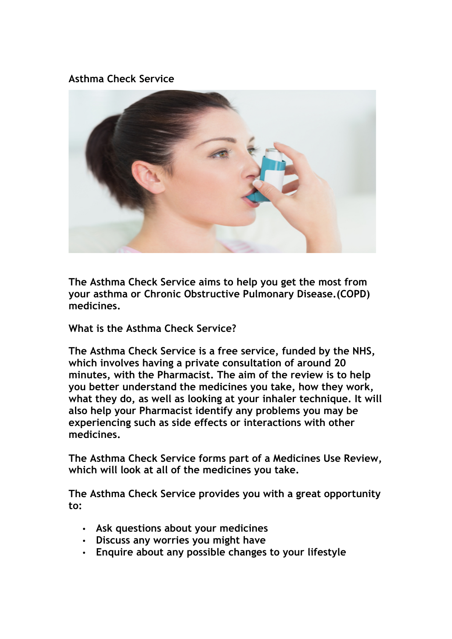## **Asthma Check Service**



**The Asthma Check Service aims to help you get the most from your asthma or Chronic Obstructive Pulmonary Disease.(COPD) medicines.**

**What is the Asthma Check Service?**

**The Asthma Check Service is a free service, funded by the NHS, which involves having a private consultation of around 20 minutes, with the Pharmacist. The aim of the review is to help you better understand the medicines you take, how they work, what they do, as well as looking at your inhaler technique. It will also help your Pharmacist identify any problems you may be experiencing such as side effects or interactions with other medicines.**

**The Asthma Check Service forms part of a Medicines Use Review, which will look at all of the medicines you take.**

**The Asthma Check Service provides you with a great opportunity to:**

- **Ask questions about your medicines**
- **Discuss any worries you might have**
- **Enquire about any possible changes to your lifestyle**